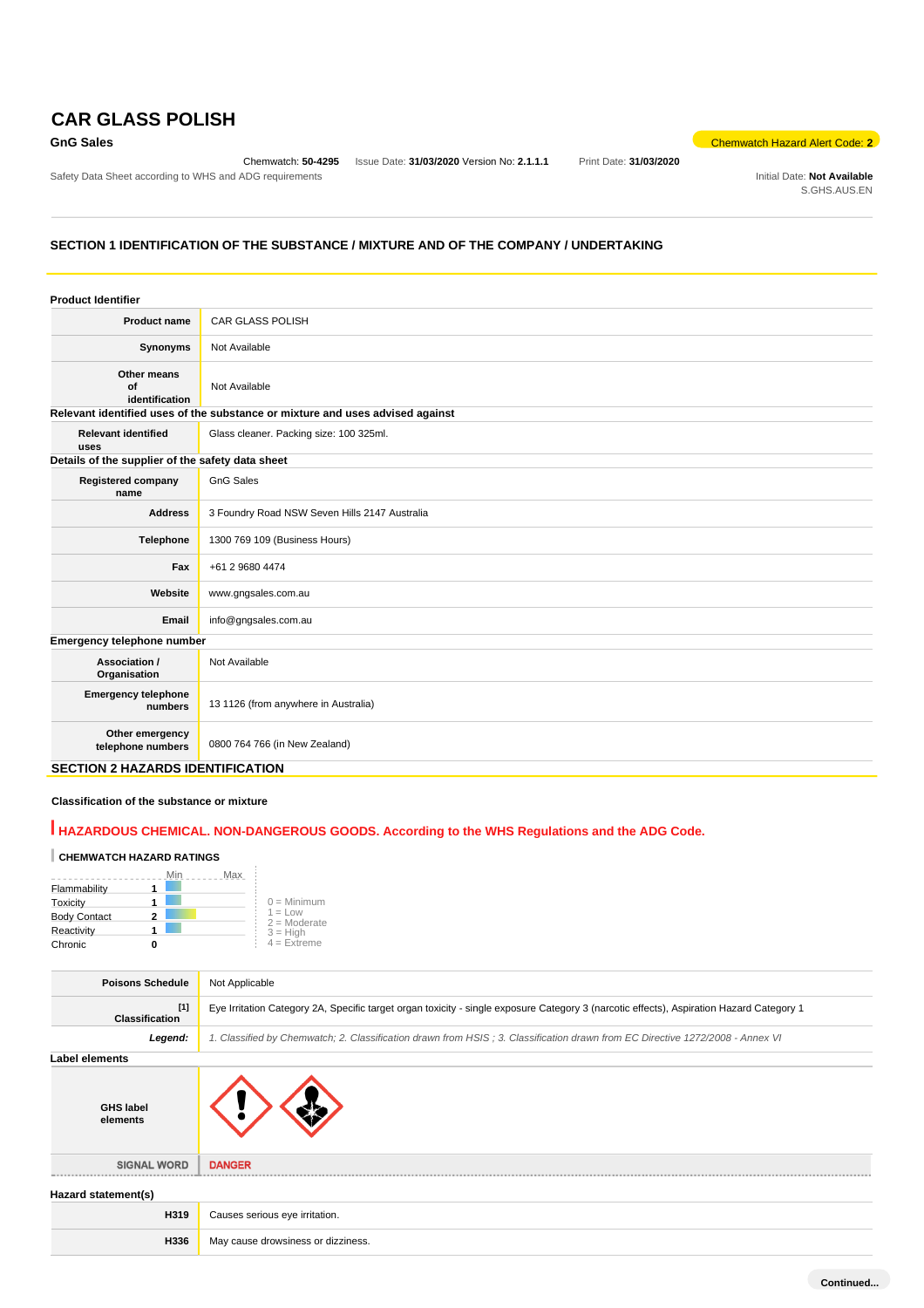# **CAR GLASS POLISH**

Chemwatch: **50-4295** Issue Date: **31/03/2020** Version No: **2.1.1.1** Print Date: **31/03/2020**

**Chemwatch Hazard Alert Code: 2** 

Safety Data Sheet according to WHS and ADG requirements **Initial Date: Not Available** Initial Date: Not Available S.GHS.AUS.EN

### **SECTION 1 IDENTIFICATION OF THE SUBSTANCE / MIXTURE AND OF THE COMPANY / UNDERTAKING**

| <b>Product name</b><br><b>CAR GLASS POLISH</b><br>Not Available<br>Synonyms<br>Other means<br>Not Available<br>of<br>identification<br>Relevant identified uses of the substance or mixture and uses advised against<br><b>Relevant identified</b><br>Glass cleaner. Packing size: 100 325ml.<br>uses<br>Details of the supplier of the safety data sheet<br><b>GnG Sales</b><br><b>Registered company</b><br>name<br>3 Foundry Road NSW Seven Hills 2147 Australia<br><b>Address</b><br>1300 769 109 (Business Hours)<br>Telephone<br>Fax<br>+61 2 9680 4474<br>Website<br>www.gngsales.com.au<br>info@gngsales.com.au<br>Email<br>Emergency telephone number<br>Not Available<br>Association /<br>Organisation<br><b>Emergency telephone</b><br>13 1126 (from anywhere in Australia)<br>numbers<br>Other emergency<br>0800 764 766 (in New Zealand)<br>telephone numbers<br>.<br>------------ | <b>Product Identifier</b> |  |
|-------------------------------------------------------------------------------------------------------------------------------------------------------------------------------------------------------------------------------------------------------------------------------------------------------------------------------------------------------------------------------------------------------------------------------------------------------------------------------------------------------------------------------------------------------------------------------------------------------------------------------------------------------------------------------------------------------------------------------------------------------------------------------------------------------------------------------------------------------------------------------------------------|---------------------------|--|
|                                                                                                                                                                                                                                                                                                                                                                                                                                                                                                                                                                                                                                                                                                                                                                                                                                                                                                 |                           |  |
|                                                                                                                                                                                                                                                                                                                                                                                                                                                                                                                                                                                                                                                                                                                                                                                                                                                                                                 |                           |  |
|                                                                                                                                                                                                                                                                                                                                                                                                                                                                                                                                                                                                                                                                                                                                                                                                                                                                                                 |                           |  |
|                                                                                                                                                                                                                                                                                                                                                                                                                                                                                                                                                                                                                                                                                                                                                                                                                                                                                                 |                           |  |
|                                                                                                                                                                                                                                                                                                                                                                                                                                                                                                                                                                                                                                                                                                                                                                                                                                                                                                 |                           |  |
|                                                                                                                                                                                                                                                                                                                                                                                                                                                                                                                                                                                                                                                                                                                                                                                                                                                                                                 |                           |  |
|                                                                                                                                                                                                                                                                                                                                                                                                                                                                                                                                                                                                                                                                                                                                                                                                                                                                                                 |                           |  |
|                                                                                                                                                                                                                                                                                                                                                                                                                                                                                                                                                                                                                                                                                                                                                                                                                                                                                                 |                           |  |
|                                                                                                                                                                                                                                                                                                                                                                                                                                                                                                                                                                                                                                                                                                                                                                                                                                                                                                 |                           |  |
|                                                                                                                                                                                                                                                                                                                                                                                                                                                                                                                                                                                                                                                                                                                                                                                                                                                                                                 |                           |  |
|                                                                                                                                                                                                                                                                                                                                                                                                                                                                                                                                                                                                                                                                                                                                                                                                                                                                                                 |                           |  |
|                                                                                                                                                                                                                                                                                                                                                                                                                                                                                                                                                                                                                                                                                                                                                                                                                                                                                                 |                           |  |
|                                                                                                                                                                                                                                                                                                                                                                                                                                                                                                                                                                                                                                                                                                                                                                                                                                                                                                 |                           |  |
|                                                                                                                                                                                                                                                                                                                                                                                                                                                                                                                                                                                                                                                                                                                                                                                                                                                                                                 |                           |  |
|                                                                                                                                                                                                                                                                                                                                                                                                                                                                                                                                                                                                                                                                                                                                                                                                                                                                                                 |                           |  |
|                                                                                                                                                                                                                                                                                                                                                                                                                                                                                                                                                                                                                                                                                                                                                                                                                                                                                                 |                           |  |

### **SECTION 2 HAZARDS IDENTIFICATION**

### **Classification of the substance or mixture**

### **HAZARDOUS CHEMICAL. NON-DANGEROUS GOODS. According to the WHS Regulations and the ADG Code.**

# **CHEMWATCH HAZARD RATINGS**

|                     | Max |                             |
|---------------------|-----|-----------------------------|
| Flammability        |     |                             |
| Toxicity            |     | $0 =$ Minimum               |
| <b>Body Contact</b> |     | $1 = Low$<br>$2 =$ Moderate |
| Reactivity          |     | $3 =$ High                  |
| Chronic             |     | $4 =$ Extreme               |

| <b>Poisons Schedule</b>        | Not Applicable                                                                                                                           |
|--------------------------------|------------------------------------------------------------------------------------------------------------------------------------------|
| $[1]$<br><b>Classification</b> | Eye Irritation Category 2A, Specific target organ toxicity - single exposure Category 3 (narcotic effects), Aspiration Hazard Category 1 |
| Legend:                        | 1. Classified by Chemwatch; 2. Classification drawn from HSIS; 3. Classification drawn from EC Directive 1272/2008 - Annex VI            |
| Label elements                 |                                                                                                                                          |
| <b>GHS label</b><br>elements   |                                                                                                                                          |
| <b>SIGNAL WORD</b>             | <b>DANGER</b>                                                                                                                            |
| Hazard statement(s)            |                                                                                                                                          |
| H319                           | Causes serious eye irritation.                                                                                                           |
| H336                           | May cause drowsiness or dizziness.                                                                                                       |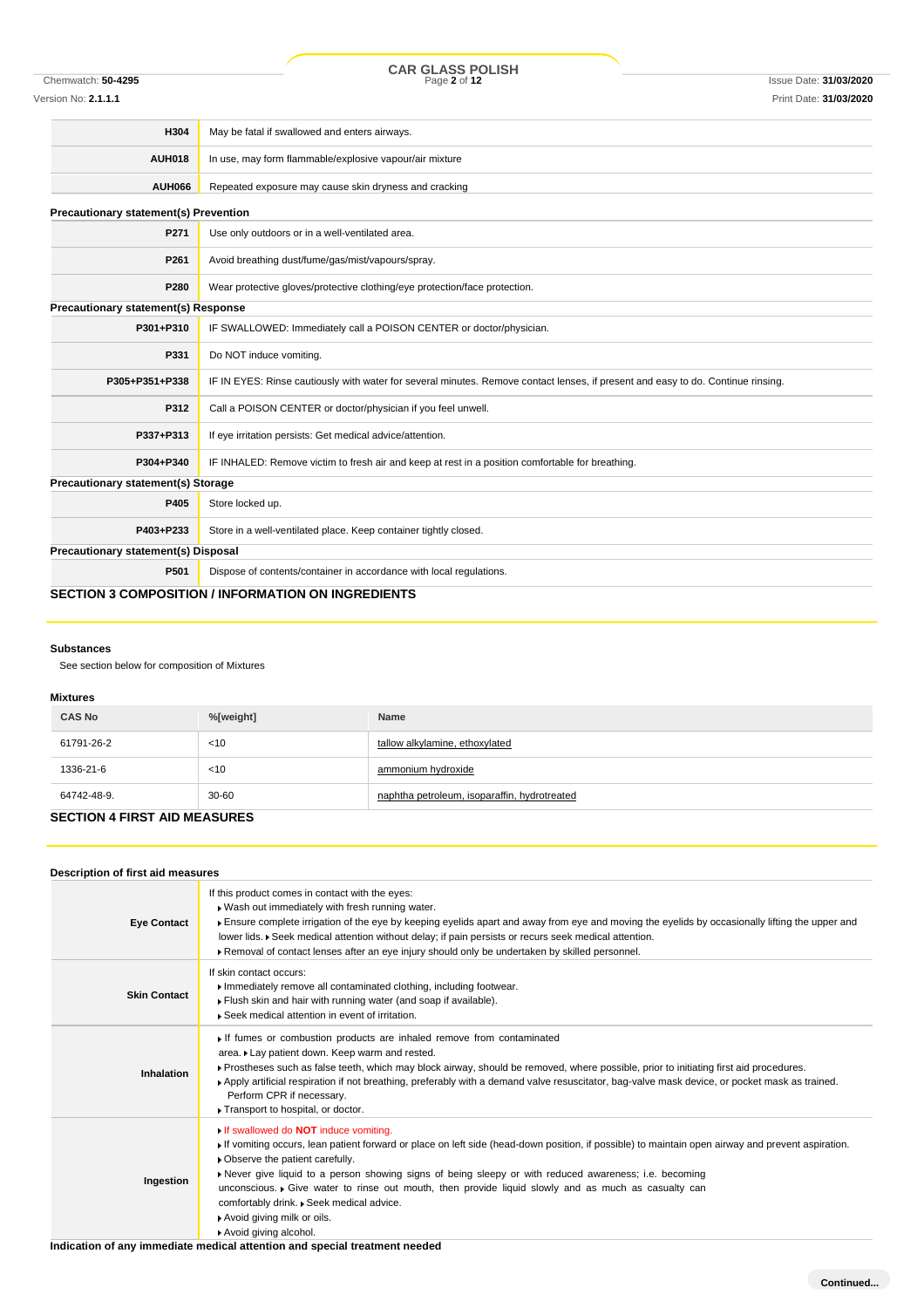COR GLASS POLISH<br>
Page 2 of 12<br>
Page 2 of 12

Version No: **2.1.1.1** Print Date: **31/03/2020**

| H304                                         | May be fatal if swallowed and enters airways.                                                                                    |  |  |
|----------------------------------------------|----------------------------------------------------------------------------------------------------------------------------------|--|--|
| <b>AUH018</b>                                | In use, may form flammable/explosive vapour/air mixture                                                                          |  |  |
| <b>AUH066</b>                                | Repeated exposure may cause skin dryness and cracking                                                                            |  |  |
| <b>Precautionary statement(s) Prevention</b> |                                                                                                                                  |  |  |
| P271                                         | Use only outdoors or in a well-ventilated area.                                                                                  |  |  |
| P261                                         | Avoid breathing dust/fume/gas/mist/vapours/spray.                                                                                |  |  |
| P280                                         | Wear protective gloves/protective clothing/eye protection/face protection.                                                       |  |  |
| Precautionary statement(s) Response          |                                                                                                                                  |  |  |
| P301+P310                                    | IF SWALLOWED: Immediately call a POISON CENTER or doctor/physician.                                                              |  |  |
| P331                                         | Do NOT induce vomiting.                                                                                                          |  |  |
| P305+P351+P338                               | IF IN EYES: Rinse cautiously with water for several minutes. Remove contact lenses, if present and easy to do. Continue rinsing. |  |  |
| P312                                         | Call a POISON CENTER or doctor/physician if you feel unwell.                                                                     |  |  |
| P337+P313                                    | If eye irritation persists: Get medical advice/attention.                                                                        |  |  |
| P304+P340                                    | IF INHALED: Remove victim to fresh air and keep at rest in a position comfortable for breathing.                                 |  |  |
| <b>Precautionary statement(s) Storage</b>    |                                                                                                                                  |  |  |
| P405                                         | Store locked up.                                                                                                                 |  |  |
| P403+P233                                    | Store in a well-ventilated place. Keep container tightly closed.                                                                 |  |  |
| Precautionary statement(s) Disposal          |                                                                                                                                  |  |  |
| P501                                         | Dispose of contents/container in accordance with local regulations.                                                              |  |  |
|                                              | <b>SECTION 3 COMPOSITION / INFORMATION ON INGREDIENTS</b>                                                                        |  |  |

### **Substances**

See section below for composition of Mixtures

### **Mixtures**

| <b>CAS No</b> | %[weight] | Name                                         |
|---------------|-----------|----------------------------------------------|
| 61791-26-2    | < 10      | tallow alkylamine, ethoxylated               |
| 1336-21-6     | < 10      | ammonium hydroxide                           |
| 64742-48-9.   | 30-60     | naphtha petroleum, isoparaffin, hydrotreated |

### **SECTION 4 FIRST AID MEASURES**

| Description of first aid measures |                                                                                                                                                                                                                                                                                                                                                                                                                                                                                                                                                         |
|-----------------------------------|---------------------------------------------------------------------------------------------------------------------------------------------------------------------------------------------------------------------------------------------------------------------------------------------------------------------------------------------------------------------------------------------------------------------------------------------------------------------------------------------------------------------------------------------------------|
| <b>Eye Contact</b>                | If this product comes in contact with the eyes:<br>. Wash out immediately with fresh running water.<br>Finsure complete irrigation of the eye by keeping eyelids apart and away from eye and moving the eyelids by occasionally lifting the upper and<br>lower lids. ▶ Seek medical attention without delay; if pain persists or recurs seek medical attention.<br>Removal of contact lenses after an eye injury should only be undertaken by skilled personnel.                                                                                        |
| <b>Skin Contact</b>               | If skin contact occurs:<br>Immediately remove all contaminated clothing, including footwear.<br>Flush skin and hair with running water (and soap if available).<br>Seek medical attention in event of irritation.                                                                                                                                                                                                                                                                                                                                       |
| Inhalation                        | If fumes or combustion products are inhaled remove from contaminated<br>area. Lay patient down. Keep warm and rested.<br>▶ Prostheses such as false teeth, which may block airway, should be removed, where possible, prior to initiating first aid procedures.<br>▶ Apply artificial respiration if not breathing, preferably with a demand valve resuscitator, bag-valve mask device, or pocket mask as trained.<br>Perform CPR if necessary.<br>Transport to hospital, or doctor.                                                                    |
| Ingestion                         | If swallowed do <b>NOT</b> induce vomiting.<br>If vomiting occurs, lean patient forward or place on left side (head-down position, if possible) to maintain open airway and prevent aspiration.<br>• Observe the patient carefully.<br>Never give liquid to a person showing signs of being sleepy or with reduced awareness; i.e. becoming<br>unconscious. ► Give water to rinse out mouth, then provide liquid slowly and as much as casualty can<br>comfortably drink. . Seek medical advice.<br>Avoid giving milk or oils.<br>Avoid giving alcohol. |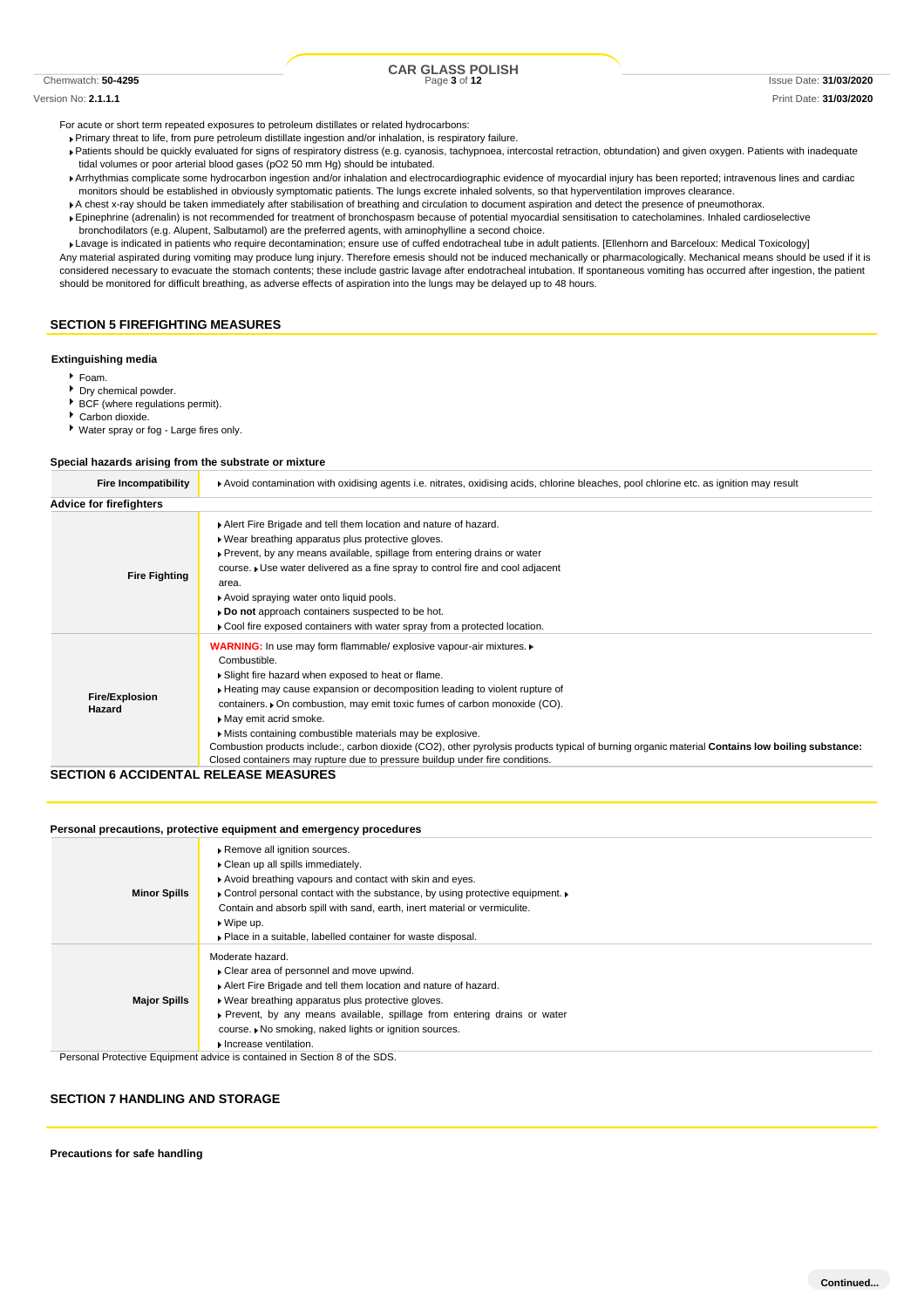# CRE GLASS POLISH<br>
Page 3 of 12
Page 3 of 12
Page 3 of 12
Page 3 of 12
Page 3 of 12
Page 3 of 12
Page 3 of 12
Page 3 of 12
Page 3 of 12
Page 3 of 12
Page 3 of 12
Page 3 of 12
Page 3 of 12
Page 3 of 12
Page 3 of 12
Page 3 of

Version No: **2.1.1.1** Print Date: **31/03/2020**

For acute or short term repeated exposures to petroleum distillates or related hydrocarbons:

- Primary threat to life, from pure petroleum distillate ingestion and/or inhalation, is respiratory failure.
- Patients should be quickly evaluated for signs of respiratory distress (e.g. cyanosis, tachypnoea, intercostal retraction, obtundation) and given oxygen. Patients with inadequate tidal volumes or poor arterial blood gases (pO2 50 mm Hg) should be intubated.
- Arrhythmias complicate some hydrocarbon ingestion and/or inhalation and electrocardiographic evidence of myocardial injury has been reported; intravenous lines and cardiac monitors should be established in obviously symptomatic patients. The lungs excrete inhaled solvents, so that hyperventilation improves clearance.
- A chest x-ray should be taken immediately after stabilisation of breathing and circulation to document aspiration and detect the presence of pneumothorax.
- Epinephrine (adrenalin) is not recommended for treatment of bronchospasm because of potential myocardial sensitisation to catecholamines. Inhaled cardioselective bronchodilators (e.g. Alupent, Salbutamol) are the preferred agents, with aminophylline a second choice.

Lavage is indicated in patients who require decontamination; ensure use of cuffed endotracheal tube in adult patients. [Ellenhorn and Barceloux: Medical Toxicology] Any material aspirated during vomiting may produce lung injury. Therefore emesis should not be induced mechanically or pharmacologically. Mechanical means should be used if it is considered necessary to evacuate the stomach contents; these include gastric lavage after endotracheal intubation. If spontaneous vomiting has occurred after ingestion, the patient should be monitored for difficult breathing, as adverse effects of aspiration into the lungs may be delayed up to 48 hours.

### **SECTION 5 FIREFIGHTING MEASURES**

#### **Extinguishing media**

- $F_{\text{Dam}}$
- Dry chemical powder.
- BCF (where regulations permit).
- Carbon dioxide.
- Water spray or fog Large fires only.

#### **Special hazards arising from the substrate or mixture**

| <b>Fire Incompatibility</b>     | ▶ Avoid contamination with oxidising agents i.e. nitrates, oxidising acids, chlorine bleaches, pool chlorine etc. as ignition may result                                                                                                                                                                                                                                                                                                                                                                                                                                                                                     |  |  |  |
|---------------------------------|------------------------------------------------------------------------------------------------------------------------------------------------------------------------------------------------------------------------------------------------------------------------------------------------------------------------------------------------------------------------------------------------------------------------------------------------------------------------------------------------------------------------------------------------------------------------------------------------------------------------------|--|--|--|
| <b>Advice for firefighters</b>  |                                                                                                                                                                                                                                                                                                                                                                                                                                                                                                                                                                                                                              |  |  |  |
| <b>Fire Fighting</b>            | Alert Fire Brigade and tell them location and nature of hazard.<br>. Wear breathing apparatus plus protective gloves.<br>▶ Prevent, by any means available, spillage from entering drains or water<br>course. Use water delivered as a fine spray to control fire and cool adjacent<br>area.<br>Avoid spraying water onto liquid pools.<br>Do not approach containers suspected to be hot.<br>► Cool fire exposed containers with water spray from a protected location.                                                                                                                                                     |  |  |  |
| <b>Fire/Explosion</b><br>Hazard | WARNING: In use may form flammable/ explosive vapour-air mixtures.<br>Combustible.<br>Slight fire hazard when exposed to heat or flame.<br>► Heating may cause expansion or decomposition leading to violent rupture of<br>containers. On combustion, may emit toxic fumes of carbon monoxide (CO).<br>May emit acrid smoke.<br>Mists containing combustible materials may be explosive.<br>Combustion products include:, carbon dioxide (CO2), other pyrolysis products typical of burning organic material Contains low boiling substance:<br>Closed containers may rupture due to pressure buildup under fire conditions. |  |  |  |

### **SECTION 6 ACCIDENTAL RELEASE MEASURES**

#### **Personal precautions, protective equipment and emergency procedures**

| <b>Minor Spills</b> | Remove all ignition sources.<br>• Clean up all spills immediately.<br>Avoid breathing vapours and contact with skin and eyes.<br>Control personal contact with the substance, by using protective equipment.<br>Contain and absorb spill with sand, earth, inert material or vermiculite.<br>$\triangleright$ Wipe up.<br>• Place in a suitable, labelled container for waste disposal. |
|---------------------|-----------------------------------------------------------------------------------------------------------------------------------------------------------------------------------------------------------------------------------------------------------------------------------------------------------------------------------------------------------------------------------------|
| <b>Major Spills</b> | Moderate hazard.<br>• Clear area of personnel and move upwind.<br>Alert Fire Brigade and tell them location and nature of hazard.<br>• Wear breathing apparatus plus protective gloves.<br>Prevent, by any means available, spillage from entering drains or water<br>course. I No smoking, naked lights or ignition sources.<br>Increase ventilation.                                  |

Personal Protective Equipment advice is contained in Section 8 of the SDS.

### **SECTION 7 HANDLING AND STORAGE**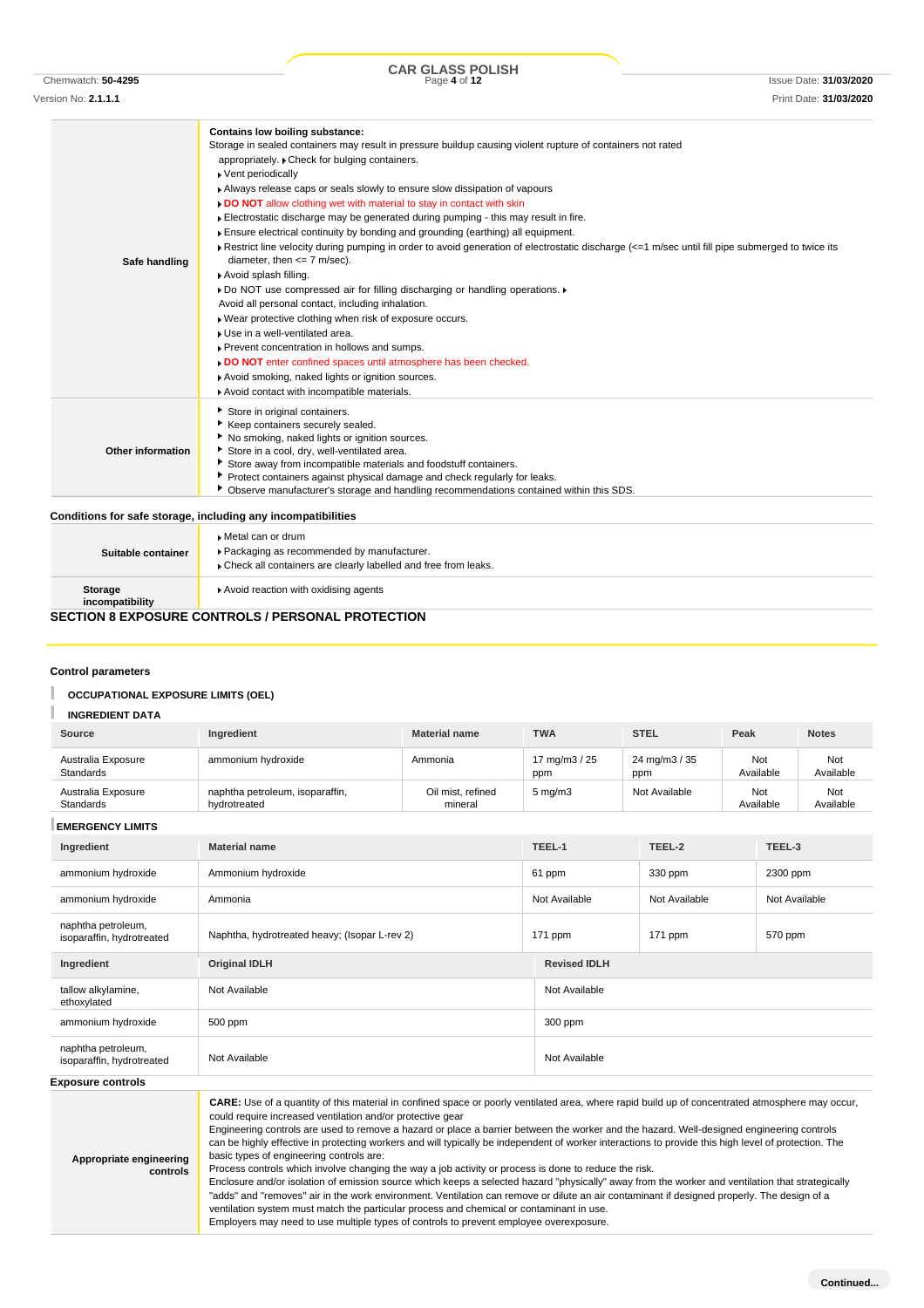COR GLASS POLISH<br>
Page 4 of 12<br>
Page 4 of 12

| Safe handling      | Contains low boiling substance:<br>Storage in sealed containers may result in pressure buildup causing violent rupture of containers not rated<br>appropriately. Check for bulging containers.<br>▶ Vent periodically<br>Always release caps or seals slowly to ensure slow dissipation of vapours<br>. DO NOT allow clothing wet with material to stay in contact with skin<br>Electrostatic discharge may be generated during pumping - this may result in fire.<br>Ensure electrical continuity by bonding and grounding (earthing) all equipment.<br>Restrict line velocity during pumping in order to avoid generation of electrostatic discharge $\leq -1$ m/sec until fill pipe submerged to twice its<br>diameter, then $<= 7$ m/sec).<br>Avoid splash filling.<br>Do NOT use compressed air for filling discharging or handling operations.<br>Avoid all personal contact, including inhalation.<br>. Wear protective clothing when risk of exposure occurs.<br>Use in a well-ventilated area.<br>Prevent concentration in hollows and sumps.<br>DO NOT enter confined spaces until atmosphere has been checked.<br>Avoid smoking, naked lights or ignition sources.<br>Avoid contact with incompatible materials. |
|--------------------|-----------------------------------------------------------------------------------------------------------------------------------------------------------------------------------------------------------------------------------------------------------------------------------------------------------------------------------------------------------------------------------------------------------------------------------------------------------------------------------------------------------------------------------------------------------------------------------------------------------------------------------------------------------------------------------------------------------------------------------------------------------------------------------------------------------------------------------------------------------------------------------------------------------------------------------------------------------------------------------------------------------------------------------------------------------------------------------------------------------------------------------------------------------------------------------------------------------------------------|
| Other information  | Store in original containers.<br>Keep containers securely sealed.<br>٠<br>No smoking, naked lights or ignition sources.<br>Store in a cool, dry, well-ventilated area.<br>Store away from incompatible materials and foodstuff containers.<br>Protect containers against physical damage and check regularly for leaks.<br>Observe manufacturer's storage and handling recommendations contained within this SDS.                                                                                                                                                                                                                                                                                                                                                                                                                                                                                                                                                                                                                                                                                                                                                                                                           |
|                    | Conditions for safe storage, including any incompatibilities                                                                                                                                                                                                                                                                                                                                                                                                                                                                                                                                                                                                                                                                                                                                                                                                                                                                                                                                                                                                                                                                                                                                                                |
| Suitable container | Metal can or drum<br>Packaging as recommended by manufacturer.<br>Check all containers are clearly labelled and free from leaks.                                                                                                                                                                                                                                                                                                                                                                                                                                                                                                                                                                                                                                                                                                                                                                                                                                                                                                                                                                                                                                                                                            |

| Storage | Avoid reaction with oxidising agents |
|---------|--------------------------------------|

#### **incompatibility**

### **SECTION 8 EXPOSURE CONTROLS / PERSONAL PROTECTION**

### **Control parameters**

#### T **OCCUPATIONAL EXPOSURE LIMITS (OEL)**

 $\mathbb T$ **INGREDIENT DATA**

| Source                                          | Ingredient                                                                                                                                                                                                                                                                                                                                                                                                                                                                                                                                                                                                                                                                                                                                                                                                                                                                                                                                                                                                                                                                                                                                                               | <b>Material name</b>         | <b>TWA</b>           | <b>STEL</b>          | Peak             | <b>Notes</b>     |  |
|-------------------------------------------------|--------------------------------------------------------------------------------------------------------------------------------------------------------------------------------------------------------------------------------------------------------------------------------------------------------------------------------------------------------------------------------------------------------------------------------------------------------------------------------------------------------------------------------------------------------------------------------------------------------------------------------------------------------------------------------------------------------------------------------------------------------------------------------------------------------------------------------------------------------------------------------------------------------------------------------------------------------------------------------------------------------------------------------------------------------------------------------------------------------------------------------------------------------------------------|------------------------------|----------------------|----------------------|------------------|------------------|--|
| Australia Exposure<br>Standards                 | ammonium hydroxide                                                                                                                                                                                                                                                                                                                                                                                                                                                                                                                                                                                                                                                                                                                                                                                                                                                                                                                                                                                                                                                                                                                                                       | Ammonia                      | 17 mg/m3 / 25<br>ppm | 24 mg/m3 / 35<br>ppm | Not<br>Available | Not<br>Available |  |
| Australia Exposure<br>Standards                 | naphtha petroleum, isoparaffin,<br>hydrotreated                                                                                                                                                                                                                                                                                                                                                                                                                                                                                                                                                                                                                                                                                                                                                                                                                                                                                                                                                                                                                                                                                                                          | Oil mist, refined<br>mineral |                      | Not Available        | Not<br>Available |                  |  |
| <b>EMERGENCY LIMITS</b>                         |                                                                                                                                                                                                                                                                                                                                                                                                                                                                                                                                                                                                                                                                                                                                                                                                                                                                                                                                                                                                                                                                                                                                                                          |                              |                      |                      |                  |                  |  |
| Ingredient                                      | <b>Material name</b>                                                                                                                                                                                                                                                                                                                                                                                                                                                                                                                                                                                                                                                                                                                                                                                                                                                                                                                                                                                                                                                                                                                                                     |                              | TEEL-1               | TEEL-2               | TEEL-3           |                  |  |
| ammonium hydroxide                              | Ammonium hydroxide                                                                                                                                                                                                                                                                                                                                                                                                                                                                                                                                                                                                                                                                                                                                                                                                                                                                                                                                                                                                                                                                                                                                                       |                              | 61 ppm               | 330 ppm              | 2300 ppm         |                  |  |
| ammonium hydroxide                              | Ammonia                                                                                                                                                                                                                                                                                                                                                                                                                                                                                                                                                                                                                                                                                                                                                                                                                                                                                                                                                                                                                                                                                                                                                                  |                              |                      | Not Available        | Not Available    |                  |  |
| naphtha petroleum,<br>isoparaffin, hydrotreated | Naphtha, hydrotreated heavy; (Isopar L-rev 2)                                                                                                                                                                                                                                                                                                                                                                                                                                                                                                                                                                                                                                                                                                                                                                                                                                                                                                                                                                                                                                                                                                                            |                              | 171 ppm              | 171 ppm              |                  | 570 ppm          |  |
| Ingredient                                      | <b>Revised IDLH</b><br><b>Original IDLH</b>                                                                                                                                                                                                                                                                                                                                                                                                                                                                                                                                                                                                                                                                                                                                                                                                                                                                                                                                                                                                                                                                                                                              |                              |                      |                      |                  |                  |  |
| tallow alkylamine,<br>ethoxylated               | Not Available                                                                                                                                                                                                                                                                                                                                                                                                                                                                                                                                                                                                                                                                                                                                                                                                                                                                                                                                                                                                                                                                                                                                                            |                              | Not Available        |                      |                  |                  |  |
| ammonium hydroxide                              | 500 ppm                                                                                                                                                                                                                                                                                                                                                                                                                                                                                                                                                                                                                                                                                                                                                                                                                                                                                                                                                                                                                                                                                                                                                                  | 300 ppm                      |                      |                      |                  |                  |  |
| naphtha petroleum,<br>isoparaffin, hydrotreated | Not Available                                                                                                                                                                                                                                                                                                                                                                                                                                                                                                                                                                                                                                                                                                                                                                                                                                                                                                                                                                                                                                                                                                                                                            |                              | Not Available        |                      |                  |                  |  |
| <b>Exposure controls</b>                        |                                                                                                                                                                                                                                                                                                                                                                                                                                                                                                                                                                                                                                                                                                                                                                                                                                                                                                                                                                                                                                                                                                                                                                          |                              |                      |                      |                  |                  |  |
| Appropriate engineering<br>controls             | <b>CARE:</b> Use of a quantity of this material in confined space or poorly ventilated area, where rapid build up of concentrated atmosphere may occur,<br>could require increased ventilation and/or protective gear<br>Engineering controls are used to remove a hazard or place a barrier between the worker and the hazard. Well-designed engineering controls<br>can be highly effective in protecting workers and will typically be independent of worker interactions to provide this high level of protection. The<br>basic types of engineering controls are:<br>Process controls which involve changing the way a job activity or process is done to reduce the risk.<br>Enclosure and/or isolation of emission source which keeps a selected hazard "physically" away from the worker and ventilation that strategically<br>"adds" and "removes" air in the work environment. Ventilation can remove or dilute an air contaminant if designed properly. The design of a<br>ventilation system must match the particular process and chemical or contaminant in use.<br>Employers may need to use multiple types of controls to prevent employee overexposure. |                              |                      |                      |                  |                  |  |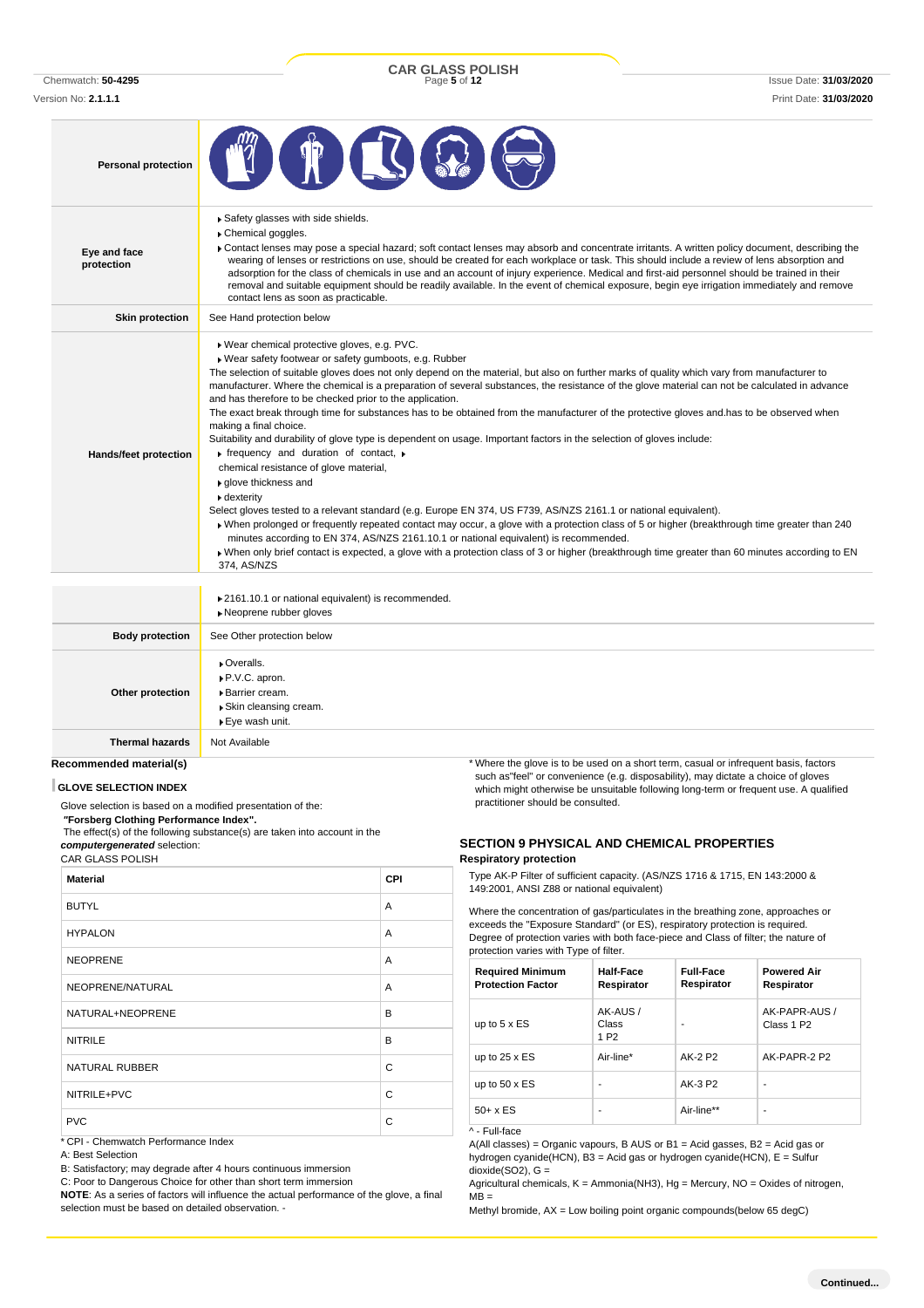Chemwatch: **50-4295** Page **5** of **12** Issue Date: **31/03/2020 CAR GLASS POLISH**

Version No: **2.1.1.1** Print Date: **31/03/2020**

| <b>Personal protection</b> |                                                                                                                                                                                                                                                                                                                                                                                                                                                                                                                                                                                                                                                                                                                                                                                                                                                                                                                                                                                                                                                                                                                                                                                                                                                                                                                                                                                                                                                         |
|----------------------------|---------------------------------------------------------------------------------------------------------------------------------------------------------------------------------------------------------------------------------------------------------------------------------------------------------------------------------------------------------------------------------------------------------------------------------------------------------------------------------------------------------------------------------------------------------------------------------------------------------------------------------------------------------------------------------------------------------------------------------------------------------------------------------------------------------------------------------------------------------------------------------------------------------------------------------------------------------------------------------------------------------------------------------------------------------------------------------------------------------------------------------------------------------------------------------------------------------------------------------------------------------------------------------------------------------------------------------------------------------------------------------------------------------------------------------------------------------|
| Eye and face<br>protection | Safety glasses with side shields.<br>Chemical goggles.<br>▶ Contact lenses may pose a special hazard; soft contact lenses may absorb and concentrate irritants. A written policy document, describing the<br>wearing of lenses or restrictions on use, should be created for each workplace or task. This should include a review of lens absorption and<br>adsorption for the class of chemicals in use and an account of injury experience. Medical and first-aid personnel should be trained in their<br>removal and suitable equipment should be readily available. In the event of chemical exposure, begin eye irrigation immediately and remove<br>contact lens as soon as practicable.                                                                                                                                                                                                                                                                                                                                                                                                                                                                                                                                                                                                                                                                                                                                                          |
| <b>Skin protection</b>     | See Hand protection below                                                                                                                                                                                                                                                                                                                                                                                                                                                                                                                                                                                                                                                                                                                                                                                                                                                                                                                                                                                                                                                                                                                                                                                                                                                                                                                                                                                                                               |
| Hands/feet protection      | Wear chemical protective gloves, e.g. PVC.<br>Wear safety footwear or safety gumboots, e.g. Rubber<br>The selection of suitable gloves does not only depend on the material, but also on further marks of quality which vary from manufacturer to<br>manufacturer. Where the chemical is a preparation of several substances, the resistance of the glove material can not be calculated in advance<br>and has therefore to be checked prior to the application.<br>The exact break through time for substances has to be obtained from the manufacturer of the protective gloves and has to be observed when<br>making a final choice.<br>Suitability and durability of glove type is dependent on usage. Important factors in the selection of gloves include:<br>$\triangleright$ frequency and duration of contact, $\triangleright$<br>chemical resistance of glove material,<br>glove thickness and<br>dexterity<br>Select gloves tested to a relevant standard (e.g. Europe EN 374, US F739, AS/NZS 2161.1 or national equivalent).<br>» When prolonged or frequently repeated contact may occur, a glove with a protection class of 5 or higher (breakthrough time greater than 240<br>minutes according to EN 374, AS/NZS 2161.10.1 or national equivalent) is recommended.<br>▶ When only brief contact is expected, a glove with a protection class of 3 or higher (breakthrough time greater than 60 minutes according to EN<br>374, AS/NZS |
|                            | ▶ 2161.10.1 or national equivalent) is recommended.<br>» Neoprene rubber gloves                                                                                                                                                                                                                                                                                                                                                                                                                                                                                                                                                                                                                                                                                                                                                                                                                                                                                                                                                                                                                                                                                                                                                                                                                                                                                                                                                                         |
| <b>Body protection</b>     | See Other protection below                                                                                                                                                                                                                                                                                                                                                                                                                                                                                                                                                                                                                                                                                                                                                                                                                                                                                                                                                                                                                                                                                                                                                                                                                                                                                                                                                                                                                              |
| Other protection           | • Overalls.<br>▶ P.V.C. apron.<br>▶ Barrier cream.<br>▶ Skin cleansing cream.<br>▶ Eye wash unit.                                                                                                                                                                                                                                                                                                                                                                                                                                                                                                                                                                                                                                                                                                                                                                                                                                                                                                                                                                                                                                                                                                                                                                                                                                                                                                                                                       |
| <b>Thermal hazards</b>     | Not Available                                                                                                                                                                                                                                                                                                                                                                                                                                                                                                                                                                                                                                                                                                                                                                                                                                                                                                                                                                                                                                                                                                                                                                                                                                                                                                                                                                                                                                           |
| Recommended material(s)    | * Where the glove is to be used on a short term, casual or infrequent basis, factors                                                                                                                                                                                                                                                                                                                                                                                                                                                                                                                                                                                                                                                                                                                                                                                                                                                                                                                                                                                                                                                                                                                                                                                                                                                                                                                                                                    |

### **GLOVE SELECTION INDEX**

Glove selection is based on a modified presentation of the:

*"***Forsberg Clothing Performance Index".** The effect(s) of the following substance(s) are taken into account in the *computergenerated* selection:

CAR GLASS POLISH

| <b>Material</b>                     | <b>CPI</b> |
|-------------------------------------|------------|
| <b>BUTYL</b>                        | A          |
| <b>HYPALON</b>                      | A          |
| <b>NEOPRENE</b>                     | A          |
| NEOPRENE/NATURAL                    | A          |
| NATURAL+NEOPRENE                    | B          |
| <b>NITRILE</b>                      | B          |
| <b>NATURAL RUBBER</b>               | C          |
| NITRILE+PVC                         | C          |
| <b>PVC</b>                          | C          |
| * CPI - Chemwatch Performance Index |            |

A: Best Selection

B: Satisfactory; may degrade after 4 hours continuous immersion

C: Poor to Dangerous Choice for other than short term immersion **NOTE**: As a series of factors will influence the actual performance of the glove, a final selection must be based on detailed observation. -

\* Where the glove is to be used on a short term, casual or infrequent basis, factors such as"feel" or convenience (e.g. disposability), may dictate a choice of gloves which might otherwise be unsuitable following long-term or frequent use. A qualified practitioner should be consulted.

### **SECTION 9 PHYSICAL AND CHEMICAL PROPERTIES Respiratory protection**

Type AK-P Filter of sufficient capacity. (AS/NZS 1716 & 1715, EN 143:2000 & 149:2001, ANSI Z88 or national equivalent)

Where the concentration of gas/particulates in the breathing zone, approaches or exceeds the "Exposure Standard" (or ES), respiratory protection is required. Degree of protection varies with both face-piece and Class of filter; the nature of protection varies with Type of filter.

| <b>Required Minimum</b><br><b>Protection Factor</b> | Half-Face<br>Respirator               | <b>Full-Face</b><br>Respirator | <b>Powered Air</b><br>Respirator        |
|-----------------------------------------------------|---------------------------------------|--------------------------------|-----------------------------------------|
| up to $5 \times ES$                                 | AK-AUS /<br>Class<br>1 P <sub>2</sub> |                                | AK-PAPR-AUS /<br>Class 1 P <sub>2</sub> |
| up to $25 \times ES$                                | Air-line*                             | AK-2 P2                        | AK-PAPR-2 P2                            |
| up to $50 \times ES$                                |                                       | AK-3 P2                        | ۰                                       |
| $50+ x ES$                                          |                                       | Air-line**                     | $\blacksquare$                          |

### ^ - Full-face

A(All classes) = Organic vapours, B AUS or B1 = Acid gasses, B2 = Acid gas or hydrogen cyanide(HCN), B3 = Acid gas or hydrogen cyanide(HCN), E = Sulfur dioxide $(SO2)$ ,  $G =$ 

Agricultural chemicals, K = Ammonia(NH3), Hg = Mercury, NO = Oxides of nitrogen,  $MB =$ 

Methyl bromide, AX = Low boiling point organic compounds(below 65 degC)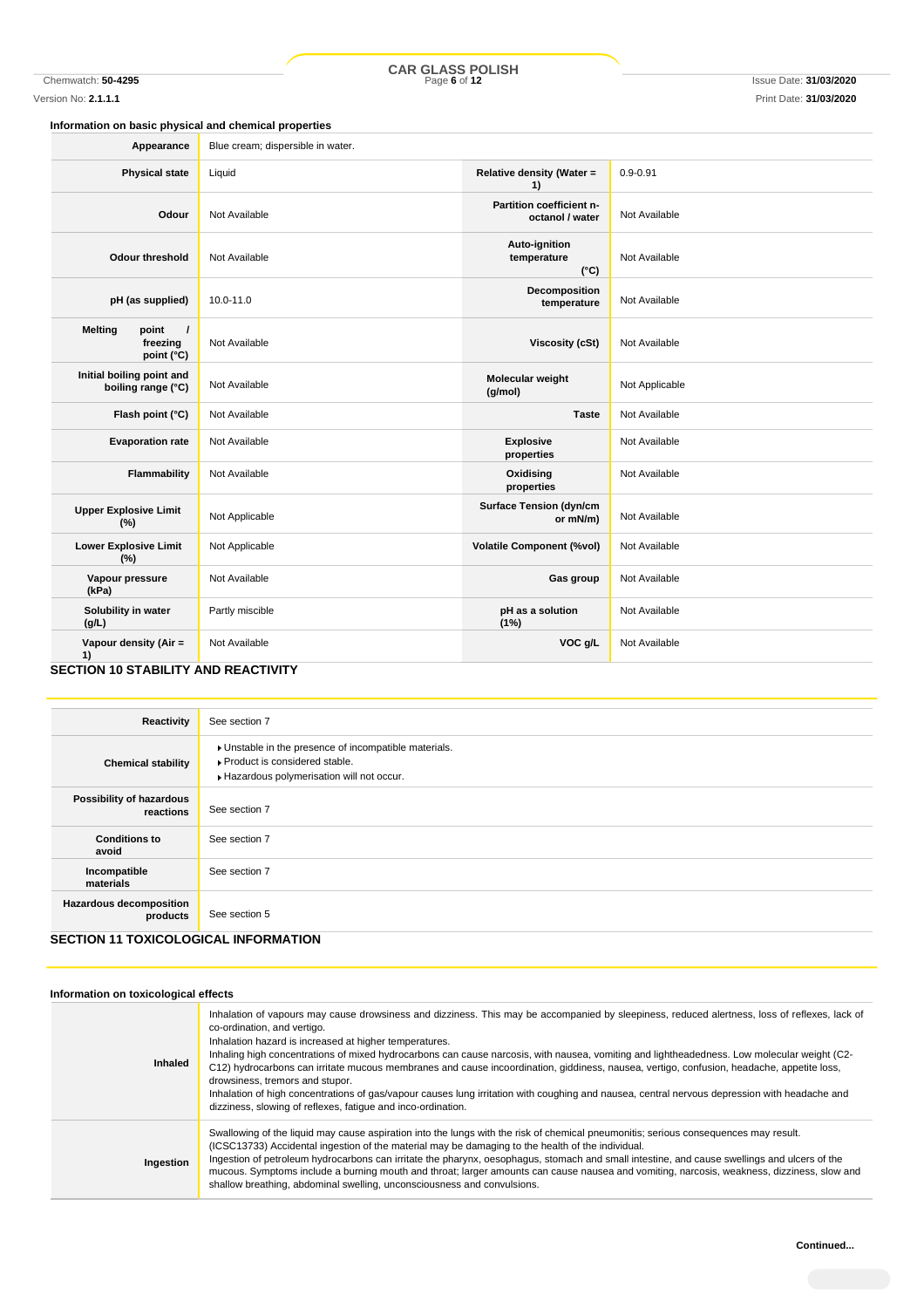Chemwatch: **50-4295** Page **6** of **12** Issue Date: **31/03/2020 CAR GLASS POLISH**

### **Information on basic physical and chemical properties**

| Appearance                                                    | Blue cream; dispersible in water. |                                               |                |
|---------------------------------------------------------------|-----------------------------------|-----------------------------------------------|----------------|
| <b>Physical state</b>                                         | Liquid                            | Relative density (Water =<br>1)               | $0.9 - 0.91$   |
| Odour                                                         | Not Available                     | Partition coefficient n-<br>octanol / water   | Not Available  |
| <b>Odour threshold</b>                                        | Not Available                     | Auto-ignition<br>temperature<br>$(^{\circ}C)$ | Not Available  |
| pH (as supplied)                                              | 10.0-11.0                         | Decomposition<br>temperature                  | Not Available  |
| <b>Melting</b><br>point<br>$\prime$<br>freezing<br>point (°C) | Not Available                     | <b>Viscosity (cSt)</b>                        | Not Available  |
| Initial boiling point and<br>boiling range (°C)               | Not Available                     | Molecular weight<br>(g/mol)                   | Not Applicable |
| Flash point (°C)                                              | Not Available                     | <b>Taste</b>                                  | Not Available  |
| <b>Evaporation rate</b>                                       | Not Available                     | <b>Explosive</b><br>properties                | Not Available  |
| Flammability                                                  | Not Available                     | Oxidising<br>properties                       | Not Available  |
| <b>Upper Explosive Limit</b><br>(%)                           | Not Applicable                    | <b>Surface Tension (dyn/cm</b><br>or mN/m)    | Not Available  |
| <b>Lower Explosive Limit</b><br>(%)                           | Not Applicable                    | <b>Volatile Component (%vol)</b>              | Not Available  |
| Vapour pressure<br>(kPa)                                      | Not Available                     | Gas group                                     | Not Available  |
| Solubility in water<br>(g/L)                                  | Partly miscible                   | pH as a solution<br>(1%)                      | Not Available  |
| Vapour density (Air =<br>1)                                   | Not Available                     | VOC g/L                                       | Not Available  |
| <b>SECTION 10 STARILITY AND REACTIVITY</b>                    |                                   |                                               |                |

### **SECTION 10 STABILITY AND REACTIVITY**

| Reactivity                                  | See section 7                                                                                                                        |  |
|---------------------------------------------|--------------------------------------------------------------------------------------------------------------------------------------|--|
| <b>Chemical stability</b>                   | • Unstable in the presence of incompatible materials.<br>▶ Product is considered stable.<br>Hazardous polymerisation will not occur. |  |
| Possibility of hazardous<br>reactions       | See section 7                                                                                                                        |  |
| <b>Conditions to</b><br>avoid               | See section 7                                                                                                                        |  |
| Incompatible<br>materials                   | See section 7                                                                                                                        |  |
| <b>Hazardous decomposition</b><br>products  | See section 5                                                                                                                        |  |
| <b>SECTION 11 TOXICOLOGICAL INFORMATION</b> |                                                                                                                                      |  |

| Information on toxicological effects |                                                                                                                                                                                                                                                                                                                                                                                                                                                                                                                                                                                                                                                                                                                                                                                        |  |  |
|--------------------------------------|----------------------------------------------------------------------------------------------------------------------------------------------------------------------------------------------------------------------------------------------------------------------------------------------------------------------------------------------------------------------------------------------------------------------------------------------------------------------------------------------------------------------------------------------------------------------------------------------------------------------------------------------------------------------------------------------------------------------------------------------------------------------------------------|--|--|
| Inhaled                              | Inhalation of vapours may cause drowsiness and dizziness. This may be accompanied by sleepiness, reduced alertness, loss of reflexes, lack of<br>co-ordination, and vertigo.<br>Inhalation hazard is increased at higher temperatures.<br>Inhaling high concentrations of mixed hydrocarbons can cause narcosis, with nausea, vomiting and lightheadedness. Low molecular weight (C2-<br>C12) hydrocarbons can irritate mucous membranes and cause incoordination, giddiness, nausea, vertigo, confusion, headache, appetite loss,<br>drowsiness, tremors and stupor.<br>Inhalation of high concentrations of gas/vapour causes lung irritation with coughing and nausea, central nervous depression with headache and<br>dizziness, slowing of reflexes, fatigue and inco-ordination. |  |  |
| Ingestion                            | Swallowing of the liquid may cause aspiration into the lungs with the risk of chemical pneumonitis; serious consequences may result.<br>(ICSC13733) Accidental ingestion of the material may be damaging to the health of the individual.<br>Ingestion of petroleum hydrocarbons can irritate the pharynx, oesophagus, stomach and small intestine, and cause swellings and ulcers of the<br>mucous. Symptoms include a burning mouth and throat; larger amounts can cause nausea and vomiting, narcosis, weakness, dizziness, slow and<br>shallow breathing, abdominal swelling, unconsciousness and convulsions.                                                                                                                                                                     |  |  |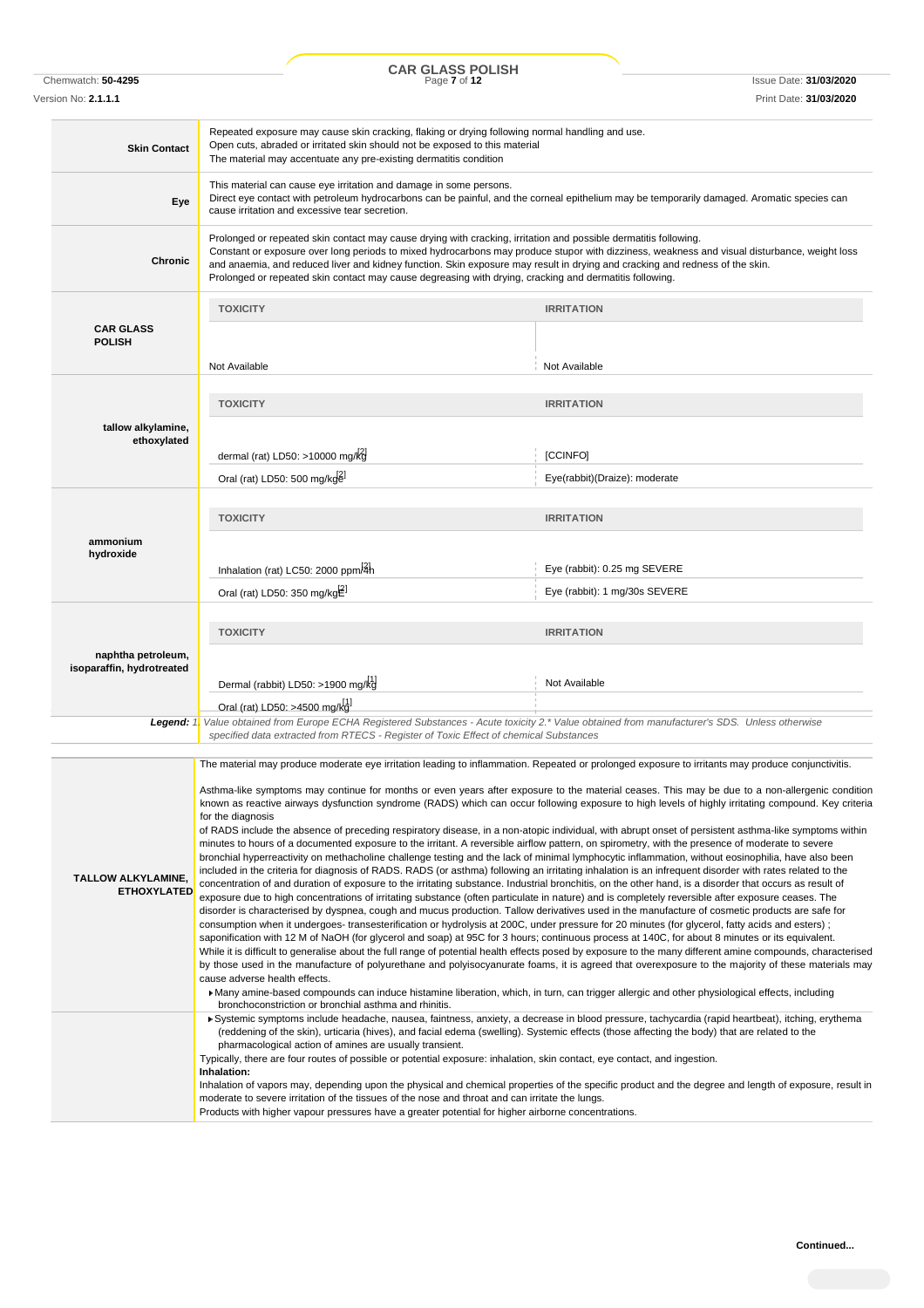Chemwatch: **50-4295** Page **7** of **12** Issue Date: **31/03/2020 CAR GLASS POLISH**

Version No: **2.1.1.1** Print Date: **31/03/2020**

| <b>Skin Contact</b>                                                                                                                                | Repeated exposure may cause skin cracking, flaking or drying following normal handling and use.<br>Open cuts, abraded or irritated skin should not be exposed to this material<br>The material may accentuate any pre-existing dermatitis condition                                                                                                                                                                                                                                                         |                                                                                                                                                     |  |
|----------------------------------------------------------------------------------------------------------------------------------------------------|-------------------------------------------------------------------------------------------------------------------------------------------------------------------------------------------------------------------------------------------------------------------------------------------------------------------------------------------------------------------------------------------------------------------------------------------------------------------------------------------------------------|-----------------------------------------------------------------------------------------------------------------------------------------------------|--|
| Eye                                                                                                                                                | This material can cause eye irritation and damage in some persons.<br>Direct eye contact with petroleum hydrocarbons can be painful, and the corneal epithelium may be temporarily damaged. Aromatic species can<br>cause irritation and excessive tear secretion.                                                                                                                                                                                                                                          |                                                                                                                                                     |  |
| Chronic                                                                                                                                            | Prolonged or repeated skin contact may cause drying with cracking, irritation and possible dermatitis following.<br>Constant or exposure over long periods to mixed hydrocarbons may produce stupor with dizziness, weakness and visual disturbance, weight loss<br>and anaemia, and reduced liver and kidney function. Skin exposure may result in drying and cracking and redness of the skin.<br>Prolonged or repeated skin contact may cause degreasing with drying, cracking and dermatitis following. |                                                                                                                                                     |  |
|                                                                                                                                                    | <b>TOXICITY</b>                                                                                                                                                                                                                                                                                                                                                                                                                                                                                             | <b>IRRITATION</b>                                                                                                                                   |  |
| <b>CAR GLASS</b><br><b>POLISH</b>                                                                                                                  |                                                                                                                                                                                                                                                                                                                                                                                                                                                                                                             |                                                                                                                                                     |  |
|                                                                                                                                                    | Not Available                                                                                                                                                                                                                                                                                                                                                                                                                                                                                               | Not Available                                                                                                                                       |  |
|                                                                                                                                                    | <b>TOXICITY</b>                                                                                                                                                                                                                                                                                                                                                                                                                                                                                             | <b>IRRITATION</b>                                                                                                                                   |  |
| tallow alkylamine,<br>ethoxylated                                                                                                                  | dermal (rat) LD50: >10000 mg/kg                                                                                                                                                                                                                                                                                                                                                                                                                                                                             | [CCINFO]                                                                                                                                            |  |
|                                                                                                                                                    | Oral (rat) LD50: 500 mg/kgel                                                                                                                                                                                                                                                                                                                                                                                                                                                                                | Eye(rabbit)(Draize): moderate                                                                                                                       |  |
|                                                                                                                                                    |                                                                                                                                                                                                                                                                                                                                                                                                                                                                                                             |                                                                                                                                                     |  |
|                                                                                                                                                    | <b>TOXICITY</b>                                                                                                                                                                                                                                                                                                                                                                                                                                                                                             | <b>IRRITATION</b>                                                                                                                                   |  |
| ammonium                                                                                                                                           |                                                                                                                                                                                                                                                                                                                                                                                                                                                                                                             |                                                                                                                                                     |  |
| hydroxide                                                                                                                                          | Inhalation (rat) LC50: 2000 ppm/4h                                                                                                                                                                                                                                                                                                                                                                                                                                                                          | Eye (rabbit): 0.25 mg SEVERE                                                                                                                        |  |
|                                                                                                                                                    | Oral (rat) LD50: 350 mg/kg $E^1$                                                                                                                                                                                                                                                                                                                                                                                                                                                                            | Eye (rabbit): 1 mg/30s SEVERE                                                                                                                       |  |
|                                                                                                                                                    |                                                                                                                                                                                                                                                                                                                                                                                                                                                                                                             |                                                                                                                                                     |  |
|                                                                                                                                                    | <b>TOXICITY</b>                                                                                                                                                                                                                                                                                                                                                                                                                                                                                             | <b>IRRITATION</b>                                                                                                                                   |  |
| naphtha petroleum,                                                                                                                                 |                                                                                                                                                                                                                                                                                                                                                                                                                                                                                                             |                                                                                                                                                     |  |
| isoparaffin, hydrotreated                                                                                                                          |                                                                                                                                                                                                                                                                                                                                                                                                                                                                                                             |                                                                                                                                                     |  |
|                                                                                                                                                    | Dermal (rabbit) LD50: >1900 mg/kg                                                                                                                                                                                                                                                                                                                                                                                                                                                                           | Not Available                                                                                                                                       |  |
| Legend: 1.                                                                                                                                         | Oral (rat) LD50: >4500 mg/kd <sup>1</sup><br>Value obtained from Europe ECHA Registered Substances - Acute toxicity 2.* Value obtained from manufacturer's SDS. Unless otherwise                                                                                                                                                                                                                                                                                                                            |                                                                                                                                                     |  |
|                                                                                                                                                    | specified data extracted from RTECS - Register of Toxic Effect of chemical Substances                                                                                                                                                                                                                                                                                                                                                                                                                       |                                                                                                                                                     |  |
|                                                                                                                                                    | The material may produce moderate eye irritation leading to inflammation. Repeated or prolonged exposure to irritants may produce conjunctivitis.                                                                                                                                                                                                                                                                                                                                                           |                                                                                                                                                     |  |
| Asthma-like symptoms may continue for months or even years after exposure to the material ceases. This may be due to a non-allergenic condition    |                                                                                                                                                                                                                                                                                                                                                                                                                                                                                                             |                                                                                                                                                     |  |
|                                                                                                                                                    |                                                                                                                                                                                                                                                                                                                                                                                                                                                                                                             | known as reactive airways dysfunction syndrome (RADS) which can occur following exposure to high levels of highly irritating compound. Key criteria |  |
|                                                                                                                                                    | for the diagnosis                                                                                                                                                                                                                                                                                                                                                                                                                                                                                           |                                                                                                                                                     |  |
|                                                                                                                                                    | of RADS include the absence of preceding respiratory disease, in a non-atopic individual, with abrupt onset of persistent asthma-like symptoms within<br>minutes to hours of a documented exposure to the irritant. A reversible airflow pattern, on spirometry, with the presence of moderate to severe                                                                                                                                                                                                    |                                                                                                                                                     |  |
| bronchial hyperreactivity on methacholine challenge testing and the lack of minimal lymphocytic inflammation, without eosinophilia, have also been |                                                                                                                                                                                                                                                                                                                                                                                                                                                                                                             |                                                                                                                                                     |  |
|                                                                                                                                                    |                                                                                                                                                                                                                                                                                                                                                                                                                                                                                                             |                                                                                                                                                     |  |
| <b>TALLOW ALKYLAMINE,</b>                                                                                                                          | included in the criteria for diagnosis of RADS. RADS (or asthma) following an irritating inhalation is an infrequent disorder with rates related to the<br>concentration of and duration of exposure to the irritating substance. Industrial bronchitis, on the other hand, is a disorder that occurs as result of                                                                                                                                                                                          |                                                                                                                                                     |  |
| <b>ETHOXYLATED</b>                                                                                                                                 | exposure due to high concentrations of irritating substance (often particulate in nature) and is completely reversible after exposure ceases. The                                                                                                                                                                                                                                                                                                                                                           |                                                                                                                                                     |  |
|                                                                                                                                                    | disorder is characterised by dyspnea, cough and mucus production. Tallow derivatives used in the manufacture of cosmetic products are safe for<br>consumption when it undergoes-transesterification or hydrolysis at 200C, under pressure for 20 minutes (for glycerol, fatty acids and esters);                                                                                                                                                                                                            |                                                                                                                                                     |  |
|                                                                                                                                                    | saponification with 12 M of NaOH (for glycerol and soap) at 95C for 3 hours; continuous process at 140C, for about 8 minutes or its equivalent.<br>While it is difficult to generalise about the full range of potential health effects posed by exposure to the many different amine compounds, characterised                                                                                                                                                                                              |                                                                                                                                                     |  |
|                                                                                                                                                    | by those used in the manufacture of polyurethane and polyisocyanurate foams, it is agreed that overexposure to the majority of these materials may                                                                                                                                                                                                                                                                                                                                                          |                                                                                                                                                     |  |
|                                                                                                                                                    | cause adverse health effects.<br>▶ Many amine-based compounds can induce histamine liberation, which, in turn, can trigger allergic and other physiological effects, including<br>bronchoconstriction or bronchial asthma and rhinitis.                                                                                                                                                                                                                                                                     |                                                                                                                                                     |  |
|                                                                                                                                                    | Systemic symptoms include headache, nausea, faintness, anxiety, a decrease in blood pressure, tachycardia (rapid heartbeat), itching, erythema                                                                                                                                                                                                                                                                                                                                                              |                                                                                                                                                     |  |
|                                                                                                                                                    | (reddening of the skin), urticaria (hives), and facial edema (swelling). Systemic effects (those affecting the body) that are related to the<br>pharmacological action of amines are usually transient.                                                                                                                                                                                                                                                                                                     |                                                                                                                                                     |  |
|                                                                                                                                                    | Typically, there are four routes of possible or potential exposure: inhalation, skin contact, eye contact, and ingestion.<br>Inhalation:                                                                                                                                                                                                                                                                                                                                                                    |                                                                                                                                                     |  |
|                                                                                                                                                    | Inhalation of vapors may, depending upon the physical and chemical properties of the specific product and the degree and length of exposure, result in                                                                                                                                                                                                                                                                                                                                                      |                                                                                                                                                     |  |
|                                                                                                                                                    | moderate to severe irritation of the tissues of the nose and throat and can irritate the lungs.<br>Products with higher vapour pressures have a greater potential for higher airborne concentrations.                                                                                                                                                                                                                                                                                                       |                                                                                                                                                     |  |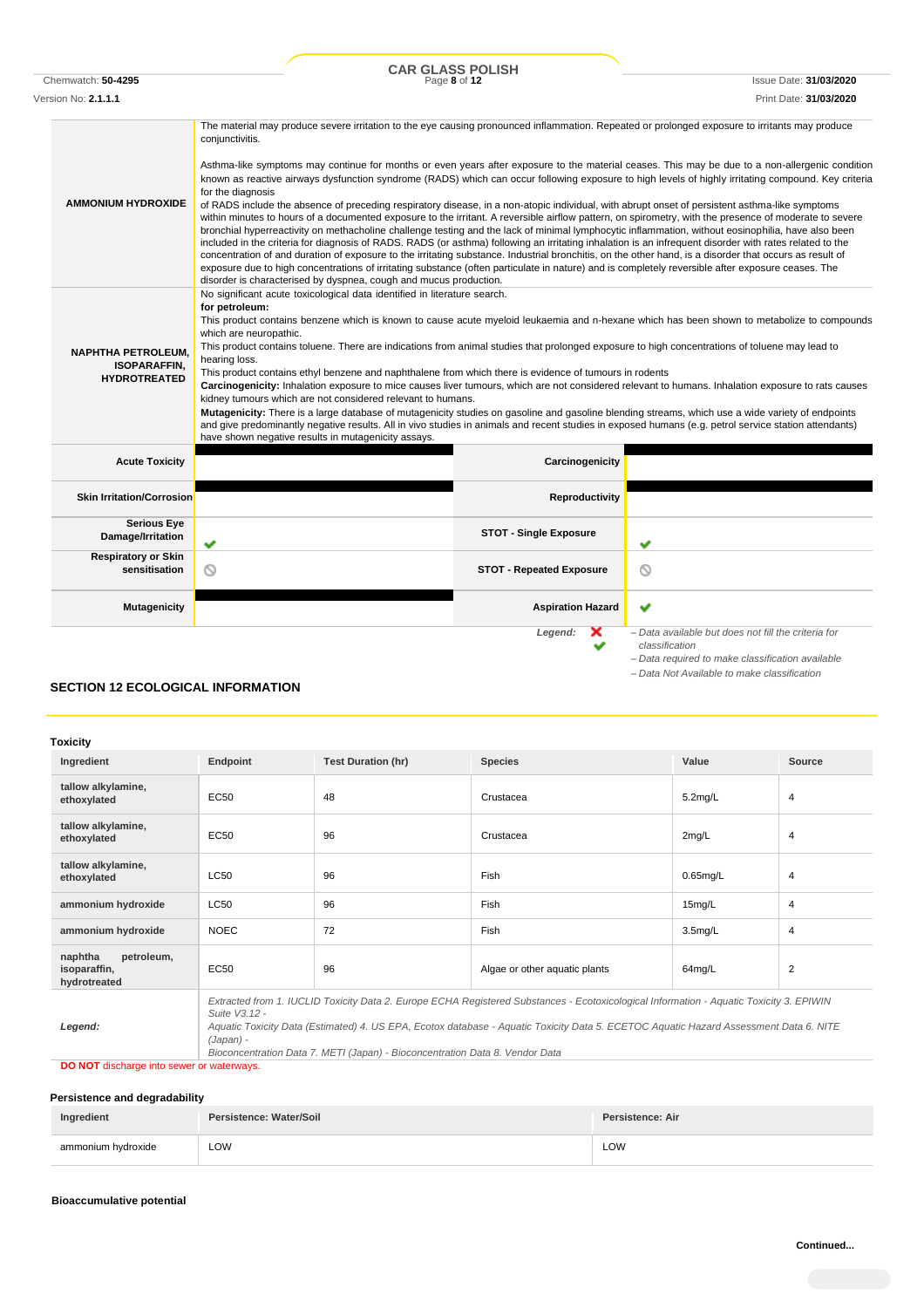Chemwatch: **50-4295** Page **8** of **12** Issue Date: **31/03/2020 CAR GLASS POLISH**

*– Data required to make classification available – Data Not Available to make classification*

| Version No: <b>2.1.1.1</b>                                                                                                                                                                                                                                                                                                                                                                                                                                                                                                                                                                                                                                                                                                                                                                                                                                                                                                                                                                                                                                                                                                                                                                                          |                                                                                                                                                                                                                                                                                                                                                                                                                                                                                                                                                                                                                                                                                                                                                                                                                                                                                                                                                                                                                                                                                                                                                                                                                                                                                                                                               |                                 | Print Date: <b>31/03/2020</b>                                         |
|---------------------------------------------------------------------------------------------------------------------------------------------------------------------------------------------------------------------------------------------------------------------------------------------------------------------------------------------------------------------------------------------------------------------------------------------------------------------------------------------------------------------------------------------------------------------------------------------------------------------------------------------------------------------------------------------------------------------------------------------------------------------------------------------------------------------------------------------------------------------------------------------------------------------------------------------------------------------------------------------------------------------------------------------------------------------------------------------------------------------------------------------------------------------------------------------------------------------|-----------------------------------------------------------------------------------------------------------------------------------------------------------------------------------------------------------------------------------------------------------------------------------------------------------------------------------------------------------------------------------------------------------------------------------------------------------------------------------------------------------------------------------------------------------------------------------------------------------------------------------------------------------------------------------------------------------------------------------------------------------------------------------------------------------------------------------------------------------------------------------------------------------------------------------------------------------------------------------------------------------------------------------------------------------------------------------------------------------------------------------------------------------------------------------------------------------------------------------------------------------------------------------------------------------------------------------------------|---------------------------------|-----------------------------------------------------------------------|
|                                                                                                                                                                                                                                                                                                                                                                                                                                                                                                                                                                                                                                                                                                                                                                                                                                                                                                                                                                                                                                                                                                                                                                                                                     | The material may produce severe irritation to the eye causing pronounced inflammation. Repeated or prolonged exposure to irritants may produce<br>conjunctivitis.                                                                                                                                                                                                                                                                                                                                                                                                                                                                                                                                                                                                                                                                                                                                                                                                                                                                                                                                                                                                                                                                                                                                                                             |                                 |                                                                       |
| <b>AMMONIUM HYDROXIDE</b>                                                                                                                                                                                                                                                                                                                                                                                                                                                                                                                                                                                                                                                                                                                                                                                                                                                                                                                                                                                                                                                                                                                                                                                           | Asthma-like symptoms may continue for months or even years after exposure to the material ceases. This may be due to a non-allergenic condition<br>known as reactive airways dysfunction syndrome (RADS) which can occur following exposure to high levels of highly irritating compound. Key criteria<br>for the diagnosis<br>of RADS include the absence of preceding respiratory disease, in a non-atopic individual, with abrupt onset of persistent asthma-like symptoms<br>within minutes to hours of a documented exposure to the irritant. A reversible airflow pattern, on spirometry, with the presence of moderate to severe<br>bronchial hyperreactivity on methacholine challenge testing and the lack of minimal lymphocytic inflammation, without eosinophilia, have also been<br>included in the criteria for diagnosis of RADS. RADS (or asthma) following an irritating inhalation is an infrequent disorder with rates related to the<br>concentration of and duration of exposure to the irritating substance. Industrial bronchitis, on the other hand, is a disorder that occurs as result of<br>exposure due to high concentrations of irritating substance (often particulate in nature) and is completely reversible after exposure ceases. The<br>disorder is characterised by dyspnea, cough and mucus production. |                                 |                                                                       |
| No significant acute toxicological data identified in literature search.<br>for petroleum:<br>This product contains benzene which is known to cause acute myeloid leukaemia and n-hexane which has been shown to metabolize to compounds<br>which are neuropathic.<br>This product contains toluene. There are indications from animal studies that prolonged exposure to high concentrations of toluene may lead to<br><b>NAPHTHA PETROLEUM.</b><br>hearing loss.<br><b>ISOPARAFFIN.</b><br>This product contains ethyl benzene and naphthalene from which there is evidence of tumours in rodents<br><b>HYDROTREATED</b><br>Carcinogenicity: Inhalation exposure to mice causes liver tumours, which are not considered relevant to humans. Inhalation exposure to rats causes<br>kidney tumours which are not considered relevant to humans.<br>Mutagenicity: There is a large database of mutagenicity studies on gasoline and gasoline blending streams, which use a wide variety of endpoints<br>and give predominantly negative results. All in vivo studies in animals and recent studies in exposed humans (e.g. petrol service station attendants)<br>have shown negative results in mutagenicity assays. |                                                                                                                                                                                                                                                                                                                                                                                                                                                                                                                                                                                                                                                                                                                                                                                                                                                                                                                                                                                                                                                                                                                                                                                                                                                                                                                                               |                                 |                                                                       |
| <b>Acute Toxicity</b>                                                                                                                                                                                                                                                                                                                                                                                                                                                                                                                                                                                                                                                                                                                                                                                                                                                                                                                                                                                                                                                                                                                                                                                               |                                                                                                                                                                                                                                                                                                                                                                                                                                                                                                                                                                                                                                                                                                                                                                                                                                                                                                                                                                                                                                                                                                                                                                                                                                                                                                                                               | Carcinogenicity                 |                                                                       |
| <b>Skin Irritation/Corrosion</b>                                                                                                                                                                                                                                                                                                                                                                                                                                                                                                                                                                                                                                                                                                                                                                                                                                                                                                                                                                                                                                                                                                                                                                                    |                                                                                                                                                                                                                                                                                                                                                                                                                                                                                                                                                                                                                                                                                                                                                                                                                                                                                                                                                                                                                                                                                                                                                                                                                                                                                                                                               | Reproductivity                  |                                                                       |
| <b>Serious Eye</b><br>Damage/Irritation                                                                                                                                                                                                                                                                                                                                                                                                                                                                                                                                                                                                                                                                                                                                                                                                                                                                                                                                                                                                                                                                                                                                                                             | ✔                                                                                                                                                                                                                                                                                                                                                                                                                                                                                                                                                                                                                                                                                                                                                                                                                                                                                                                                                                                                                                                                                                                                                                                                                                                                                                                                             | <b>STOT - Single Exposure</b>   | ✔                                                                     |
| <b>Respiratory or Skin</b><br>sensitisation                                                                                                                                                                                                                                                                                                                                                                                                                                                                                                                                                                                                                                                                                                                                                                                                                                                                                                                                                                                                                                                                                                                                                                         | ◎                                                                                                                                                                                                                                                                                                                                                                                                                                                                                                                                                                                                                                                                                                                                                                                                                                                                                                                                                                                                                                                                                                                                                                                                                                                                                                                                             | <b>STOT - Repeated Exposure</b> | O                                                                     |
| <b>Mutagenicity</b>                                                                                                                                                                                                                                                                                                                                                                                                                                                                                                                                                                                                                                                                                                                                                                                                                                                                                                                                                                                                                                                                                                                                                                                                 |                                                                                                                                                                                                                                                                                                                                                                                                                                                                                                                                                                                                                                                                                                                                                                                                                                                                                                                                                                                                                                                                                                                                                                                                                                                                                                                                               | <b>Aspiration Hazard</b>        | ◡                                                                     |
|                                                                                                                                                                                                                                                                                                                                                                                                                                                                                                                                                                                                                                                                                                                                                                                                                                                                                                                                                                                                                                                                                                                                                                                                                     |                                                                                                                                                                                                                                                                                                                                                                                                                                                                                                                                                                                                                                                                                                                                                                                                                                                                                                                                                                                                                                                                                                                                                                                                                                                                                                                                               | Legend:                         | - Data available but does not fill the criteria for<br>classification |

**SECTION 12 ECOLOGICAL INFORMATION**

### **Toxicity**

| Ingredient                                            | Endpoint                                                                                                                                                                                                                                                                                                       | <b>Test Duration (hr)</b> | <b>Species</b>                | Value               | Source         |
|-------------------------------------------------------|----------------------------------------------------------------------------------------------------------------------------------------------------------------------------------------------------------------------------------------------------------------------------------------------------------------|---------------------------|-------------------------------|---------------------|----------------|
| tallow alkylamine,<br>ethoxylated                     | EC50                                                                                                                                                                                                                                                                                                           | 48                        | Crustacea                     | $5.2$ mg/L          | 4              |
| tallow alkylamine,<br>ethoxylated                     | EC50                                                                                                                                                                                                                                                                                                           | 96                        | Crustacea                     | 2mg/L               | 4              |
| tallow alkylamine,<br>ethoxylated                     | <b>LC50</b>                                                                                                                                                                                                                                                                                                    | 96                        | Fish                          | $0.65$ mg/L         | 4              |
| ammonium hydroxide                                    | <b>LC50</b>                                                                                                                                                                                                                                                                                                    | 96                        | Fish                          | 15mg/L              | $\overline{4}$ |
| ammonium hydroxide                                    | <b>NOEC</b>                                                                                                                                                                                                                                                                                                    | 72                        | Fish                          | 3.5 <sub>mg/L</sub> | $\overline{4}$ |
| naphtha<br>petroleum,<br>isoparaffin,<br>hydrotreated | EC50                                                                                                                                                                                                                                                                                                           | 96                        | Algae or other aquatic plants | 64mg/L              | $\overline{2}$ |
| Legend:                                               | Extracted from 1. IUCLID Toxicity Data 2. Europe ECHA Registered Substances - Ecotoxicological Information - Aquatic Toxicity 3. EPIWIN<br>Suite V3.12 -<br>Aquatic Toxicity Data (Estimated) 4. US EPA, Ecotox database - Aquatic Toxicity Data 5. ECETOC Aquatic Hazard Assessment Data 6. NITE<br>(Japan) - |                           |                               |                     |                |

*Bioconcentration Data 7. METI (Japan) - Bioconcentration Data 8. Vendor Data*

**DO NOT** discharge into sewer or waterways.

### **Persistence and degradability**

| Ingredient         | Persistence: Water/Soil | Persistence: Air |
|--------------------|-------------------------|------------------|
| ammonium hydroxide | LOW                     | LOW              |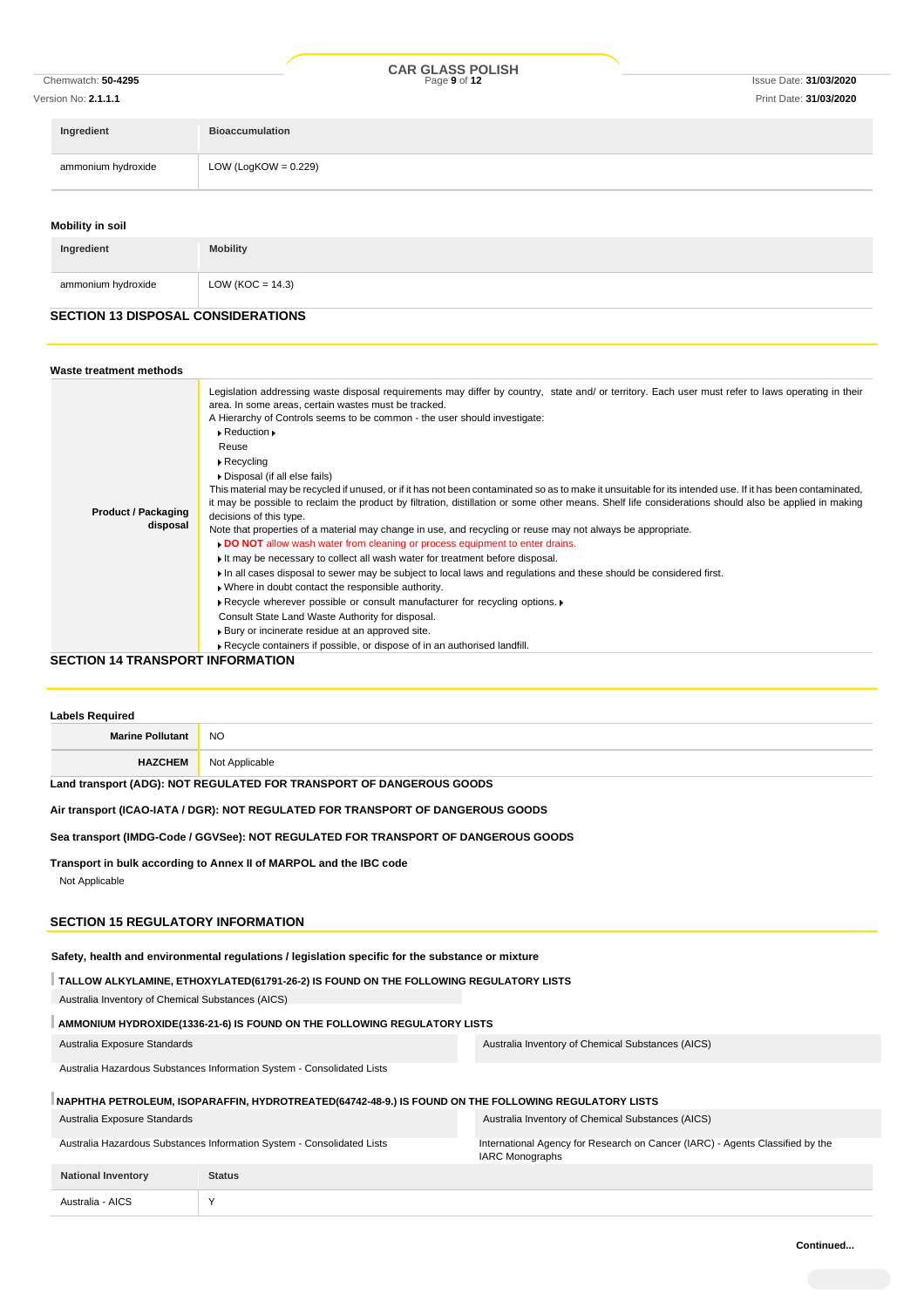|                    |                     |                         | <b>CAR GLASS POLISH</b> |                               |
|--------------------|---------------------|-------------------------|-------------------------|-------------------------------|
| Chemwatch: 50-4295 |                     |                         | Page 9 of 12            | <b>Issue Date: 31/03/2020</b> |
|                    | Version No: 2.1.1.1 |                         |                         | Print Date: 31/03/2020        |
|                    | Ingredient          | <b>Bioaccumulation</b>  |                         |                               |
|                    | ammonium hydroxide  | LOW (LogKOW = $0.229$ ) |                         |                               |

### **Mobility in soil**

| Ingredient         | <b>Mobility</b>      |
|--------------------|----------------------|
| ammonium hydroxide | LOW ( $KOC = 14.3$ ) |

## **SECTION 13 DISPOSAL CONSIDERATIONS**

| Waste treatment methods                |                                                                                                                                                                                                                                                                                                                                                                                                                                                                                                                                                                                                                                                                                                                                                                                                                                                                                                                                                                                                                                                                                                                                                                                                                                                                                                                                                                                                                                                                                               |
|----------------------------------------|-----------------------------------------------------------------------------------------------------------------------------------------------------------------------------------------------------------------------------------------------------------------------------------------------------------------------------------------------------------------------------------------------------------------------------------------------------------------------------------------------------------------------------------------------------------------------------------------------------------------------------------------------------------------------------------------------------------------------------------------------------------------------------------------------------------------------------------------------------------------------------------------------------------------------------------------------------------------------------------------------------------------------------------------------------------------------------------------------------------------------------------------------------------------------------------------------------------------------------------------------------------------------------------------------------------------------------------------------------------------------------------------------------------------------------------------------------------------------------------------------|
| <b>Product / Packaging</b><br>disposal | Legislation addressing waste disposal requirements may differ by country, state and/ or territory. Each user must refer to laws operating in their<br>area. In some areas, certain wastes must be tracked.<br>A Hierarchy of Controls seems to be common - the user should investigate:<br>$\triangleright$ Reduction $\triangleright$<br>Reuse<br>$\triangleright$ Recycling<br>Disposal (if all else fails)<br>This material may be recycled if unused, or if it has not been contaminated so as to make it unsuitable for its intended use. If it has been contaminated,<br>it may be possible to reclaim the product by filtration, distillation or some other means. Shelf life considerations should also be applied in making<br>decisions of this type.<br>Note that properties of a material may change in use, and recycling or reuse may not always be appropriate.<br>DO NOT allow wash water from cleaning or process equipment to enter drains.<br>It may be necessary to collect all wash water for treatment before disposal.<br>If in all cases disposal to sewer may be subject to local laws and regulations and these should be considered first.<br>. Where in doubt contact the responsible authority.<br>Recycle wherever possible or consult manufacturer for recycling options.<br>Consult State Land Waste Authority for disposal.<br>▶ Bury or incinerate residue at an approved site.<br>Recycle containers if possible, or dispose of in an authorised landfill. |

### **SECTION 14 TRANSPORT INFORMATION**

| <b>Labels Required</b>                                                 |                                                                                                      |                                                                                                         |
|------------------------------------------------------------------------|------------------------------------------------------------------------------------------------------|---------------------------------------------------------------------------------------------------------|
| <b>Marine Pollutant</b>                                                | NO.                                                                                                  |                                                                                                         |
| <b>HAZCHEM</b>                                                         | Not Applicable                                                                                       |                                                                                                         |
|                                                                        | Land transport (ADG): NOT REGULATED FOR TRANSPORT OF DANGEROUS GOODS                                 |                                                                                                         |
|                                                                        | Air transport (ICAO-IATA / DGR): NOT REGULATED FOR TRANSPORT OF DANGEROUS GOODS                      |                                                                                                         |
|                                                                        | Sea transport (IMDG-Code / GGVSee): NOT REGULATED FOR TRANSPORT OF DANGEROUS GOODS                   |                                                                                                         |
| Not Applicable<br><b>SECTION 15 REGULATORY INFORMATION</b>             | Transport in bulk according to Annex II of MARPOL and the IBC code                                   |                                                                                                         |
|                                                                        | Safety, health and environmental regulations / legislation specific for the substance or mixture     |                                                                                                         |
| Australia Inventory of Chemical Substances (AICS)                      | TALLOW ALKYLAMINE, ETHOXYLATED(61791-26-2) IS FOUND ON THE FOLLOWING REGULATORY LISTS                |                                                                                                         |
|                                                                        | AMMONIUM HYDROXIDE(1336-21-6) IS FOUND ON THE FOLLOWING REGULATORY LISTS                             |                                                                                                         |
| Australia Exposure Standards                                           |                                                                                                      | Australia Inventory of Chemical Substances (AICS)                                                       |
|                                                                        | Australia Hazardous Substances Information System - Consolidated Lists                               |                                                                                                         |
|                                                                        | NAPHTHA PETROLEUM, ISOPARAFFIN, HYDROTREATED(64742-48-9.) IS FOUND ON THE FOLLOWING REGULATORY LISTS |                                                                                                         |
| Australia Exposure Standards                                           |                                                                                                      | Australia Inventory of Chemical Substances (AICS)                                                       |
| Australia Hazardous Substances Information System - Consolidated Lists |                                                                                                      | International Agency for Research on Cancer (IARC) - Agents Classified by the<br><b>IARC Monographs</b> |
| <b>National Inventory</b>                                              | <b>Status</b>                                                                                        |                                                                                                         |
| Australia - AICS                                                       | Y                                                                                                    |                                                                                                         |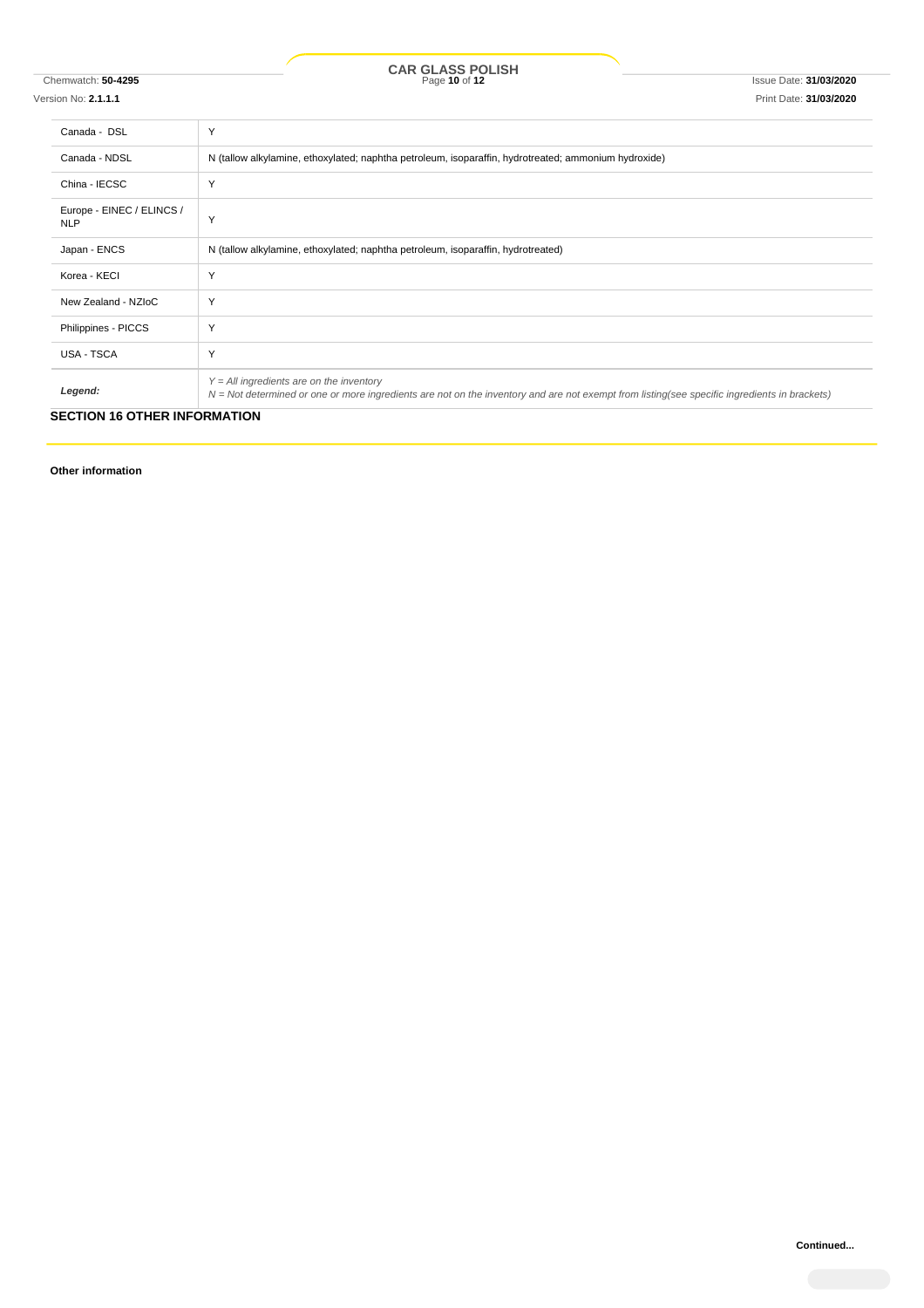Chemwatch: **50-4295** Page **10** of **12** Issue Date: **31/03/2020 CAR GLASS POLISH**

Version No: **2.1.1.1** Print Date: **31/03/2020**

| Canada - DSL                            | Y                                                                                                                                                                                          |  |
|-----------------------------------------|--------------------------------------------------------------------------------------------------------------------------------------------------------------------------------------------|--|
| Canada - NDSL                           | N (tallow alkylamine, ethoxylated; naphtha petroleum, isoparaffin, hydrotreated; ammonium hydroxide)                                                                                       |  |
| China - IECSC                           | Y                                                                                                                                                                                          |  |
| Europe - EINEC / ELINCS /<br><b>NLP</b> | Y                                                                                                                                                                                          |  |
| Japan - ENCS                            | N (tallow alkylamine, ethoxylated; naphtha petroleum, isoparaffin, hydrotreated)                                                                                                           |  |
| Korea - KECI                            | Υ                                                                                                                                                                                          |  |
| New Zealand - NZIoC                     | Υ                                                                                                                                                                                          |  |
| Philippines - PICCS                     | Y                                                                                                                                                                                          |  |
| <b>USA - TSCA</b>                       | Y                                                                                                                                                                                          |  |
| Legend:                                 | $Y = All$ ingredients are on the inventory<br>N = Not determined or one or more ingredients are not on the inventory and are not exempt from listing(see specific ingredients in brackets) |  |

### **SECTION 16 OTHER INFORMATION**

**Other information**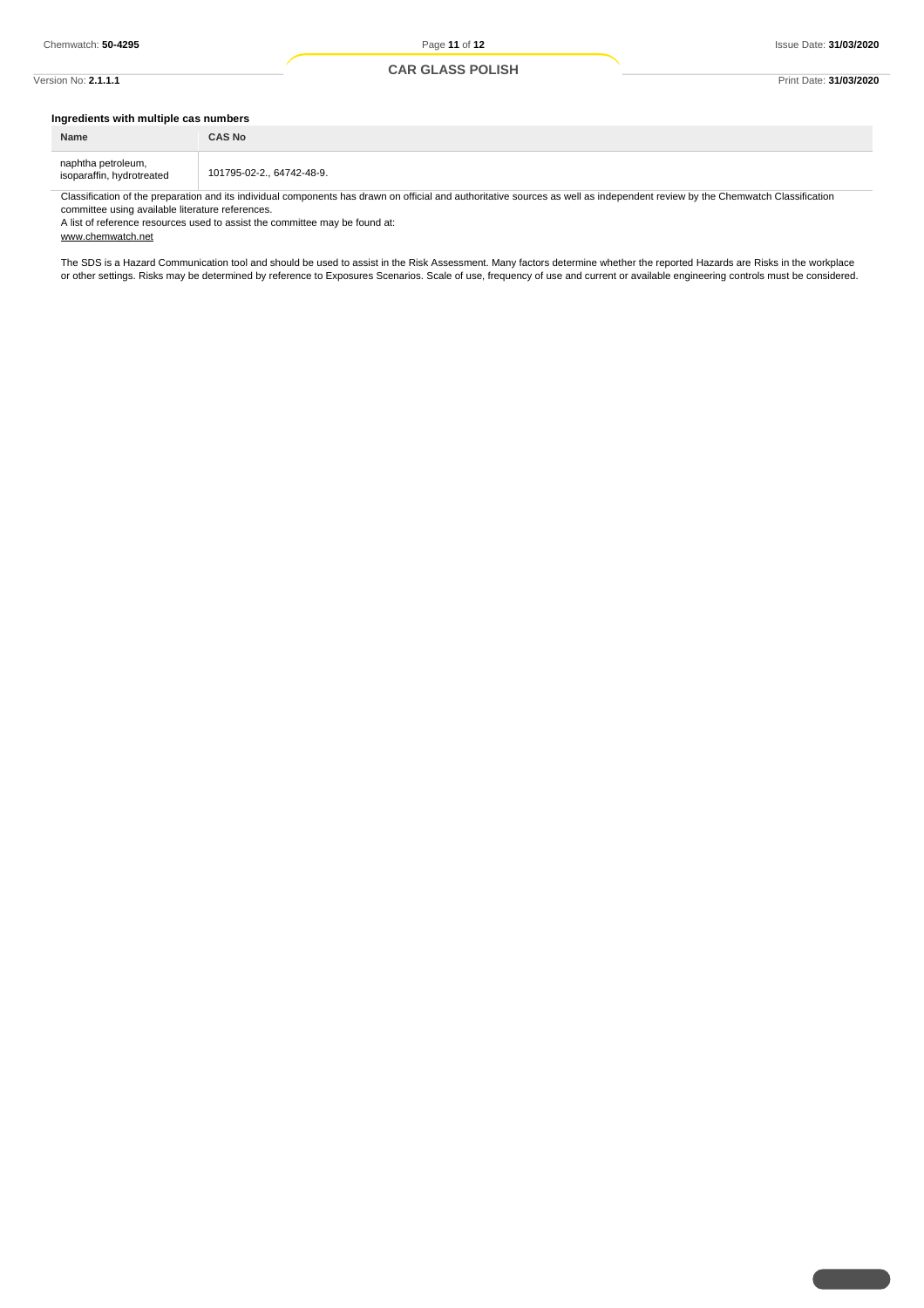### Version No: **2.1.1.1** Print Date: **31/03/2020**

### **Ingredients with multiple cas numbers**

| Name                                            | <b>CAS No</b>             |
|-------------------------------------------------|---------------------------|
| naphtha petroleum,<br>isoparaffin, hydrotreated | 101795-02-2., 64742-48-9. |

Classification of the preparation and its individual components has drawn on official and authoritative sources as well as independent review by the Chemwatch Classification committee using available literature references.

A list of reference resources used to assist the committee may be found at: www.chemwatch.net

The SDS is a Hazard Communication tool and should be used to assist in the Risk Assessment. Many factors determine whether the reported Hazards are Risks in the workplace or other settings. Risks may be determined by reference to Exposures Scenarios. Scale of use, frequency of use and current or available engineering controls must be considered.